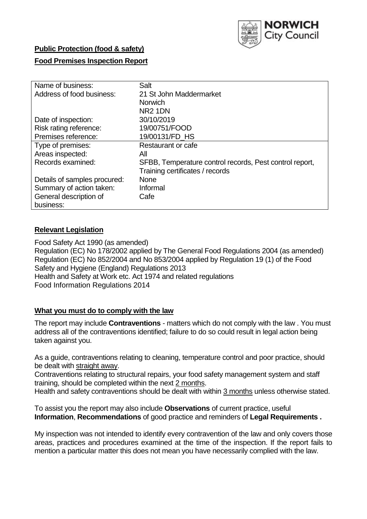

# **Public Protection (food & safety)**

# **Food Premises Inspection Report**

| Name of business:            | Salt                                                    |
|------------------------------|---------------------------------------------------------|
| Address of food business:    | 21 St John Maddermarket                                 |
|                              | <b>Norwich</b>                                          |
|                              | NR <sub>2</sub> 1DN                                     |
| Date of inspection:          | 30/10/2019                                              |
| Risk rating reference:       | 19/00751/FOOD                                           |
| Premises reference:          | 19/00131/FD_HS                                          |
| Type of premises:            | Restaurant or cafe                                      |
| Areas inspected:             | All                                                     |
| Records examined:            | SFBB, Temperature control records, Pest control report, |
|                              | Training certificates / records                         |
| Details of samples procured: | <b>None</b>                                             |
| Summary of action taken:     | Informal                                                |
| General description of       | Cafe                                                    |
| business:                    |                                                         |

# **Relevant Legislation**

Food Safety Act 1990 (as amended) Regulation (EC) No 178/2002 applied by The General Food Regulations 2004 (as amended) Regulation (EC) No 852/2004 and No 853/2004 applied by Regulation 19 (1) of the Food Safety and Hygiene (England) Regulations 2013 Health and Safety at Work etc. Act 1974 and related regulations Food Information Regulations 2014

#### **What you must do to comply with the law**

The report may include **Contraventions** - matters which do not comply with the law . You must address all of the contraventions identified; failure to do so could result in legal action being taken against you.

As a guide, contraventions relating to cleaning, temperature control and poor practice, should be dealt with straight away.

Contraventions relating to structural repairs, your food safety management system and staff training, should be completed within the next 2 months.

Health and safety contraventions should be dealt with within 3 months unless otherwise stated.

To assist you the report may also include **Observations** of current practice, useful **Information**, **Recommendations** of good practice and reminders of **Legal Requirements .**

My inspection was not intended to identify every contravention of the law and only covers those areas, practices and procedures examined at the time of the inspection. If the report fails to mention a particular matter this does not mean you have necessarily complied with the law.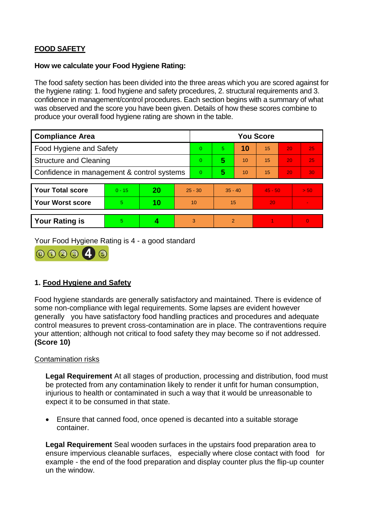# **FOOD SAFETY**

### **How we calculate your Food Hygiene Rating:**

The food safety section has been divided into the three areas which you are scored against for the hygiene rating: 1. food hygiene and safety procedures, 2. structural requirements and 3. confidence in management/control procedures. Each section begins with a summary of what was observed and the score you have been given. Details of how these scores combine to produce your overall food hygiene rating are shown in the table.

| <b>Compliance Area</b>                     |          |    |           | <b>You Score</b> |                |    |           |    |                |  |  |
|--------------------------------------------|----------|----|-----------|------------------|----------------|----|-----------|----|----------------|--|--|
| Food Hygiene and Safety                    |          |    |           | $\Omega$         | 5              | 10 | 15        | 20 | 25             |  |  |
| <b>Structure and Cleaning</b>              |          |    | $\Omega$  | 5                | 10             | 15 | 20        | 25 |                |  |  |
| Confidence in management & control systems |          |    | $\Omega$  | 5                | 10             | 15 | 20        | 30 |                |  |  |
|                                            |          |    |           |                  |                |    |           |    |                |  |  |
| <b>Your Total score</b>                    | $0 - 15$ | 20 | $25 - 30$ |                  | $35 - 40$      |    | $45 - 50$ |    | > 50           |  |  |
| <b>Your Worst score</b>                    | 5        | 10 | 10        |                  | 15             |    | 20        |    | $\blacksquare$ |  |  |
|                                            |          |    |           |                  |                |    |           |    |                |  |  |
| <b>Your Rating is</b>                      | 5        |    |           | 3                | $\overline{2}$ |    |           |    | $\Omega$       |  |  |

Your Food Hygiene Rating is 4 - a good standard



# **1. Food Hygiene and Safety**

Food hygiene standards are generally satisfactory and maintained. There is evidence of some non-compliance with legal requirements. Some lapses are evident however generally you have satisfactory food handling practices and procedures and adequate control measures to prevent cross-contamination are in place. The contraventions require your attention; although not critical to food safety they may become so if not addressed. **(Score 10)**

# Contamination risks

**Legal Requirement** At all stages of production, processing and distribution, food must be protected from any contamination likely to render it unfit for human consumption, injurious to health or contaminated in such a way that it would be unreasonable to expect it to be consumed in that state.

 Ensure that canned food, once opened is decanted into a suitable storage container.

**Legal Requirement** Seal wooden surfaces in the upstairs food preparation area to ensure impervious cleanable surfaces, especially where close contact with food for example - the end of the food preparation and display counter plus the flip-up counter un the window.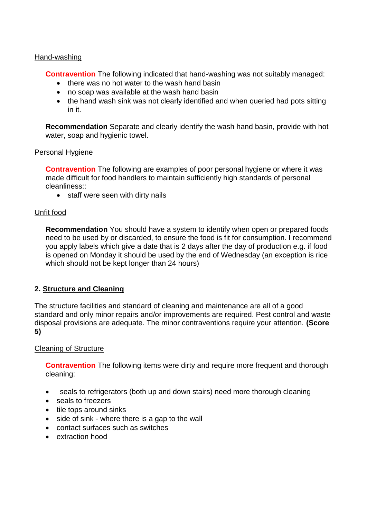#### Hand-washing

**Contravention** The following indicated that hand-washing was not suitably managed:

- there was no hot water to the wash hand basin
- no soap was available at the wash hand basin
- the hand wash sink was not clearly identified and when queried had pots sitting in it.

**Recommendation** Separate and clearly identify the wash hand basin, provide with hot water, soap and hygienic towel.

#### Personal Hygiene

**Contravention** The following are examples of poor personal hygiene or where it was made difficult for food handlers to maintain sufficiently high standards of personal cleanliness::

• staff were seen with dirty nails

#### Unfit food

**Recommendation** You should have a system to identify when open or prepared foods need to be used by or discarded, to ensure the food is fit for consumption. I recommend you apply labels which give a date that is 2 days after the day of production e.g. if food is opened on Monday it should be used by the end of Wednesday (an exception is rice which should not be kept longer than 24 hours)

#### **2. Structure and Cleaning**

The structure facilities and standard of cleaning and maintenance are all of a good standard and only minor repairs and/or improvements are required. Pest control and waste disposal provisions are adequate. The minor contraventions require your attention. **(Score 5)**

#### Cleaning of Structure

**Contravention** The following items were dirty and require more frequent and thorough cleaning:

- seals to refrigerators (both up and down stairs) need more thorough cleaning
- seals to freezers
- tile tops around sinks
- side of sink where there is a gap to the wall
- contact surfaces such as switches
- extraction hood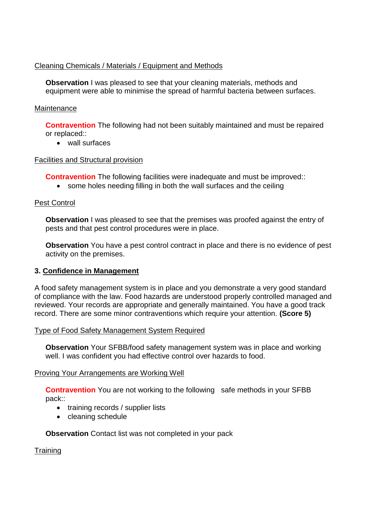# Cleaning Chemicals / Materials / Equipment and Methods

**Observation** I was pleased to see that your cleaning materials, methods and equipment were able to minimise the spread of harmful bacteria between surfaces.

### Maintenance

**Contravention** The following had not been suitably maintained and must be repaired or replaced::

wall surfaces

# Facilities and Structural provision

**Contravention** The following facilities were inadequate and must be improved::

• some holes needing filling in both the wall surfaces and the ceiling

# Pest Control

**Observation** I was pleased to see that the premises was proofed against the entry of pests and that pest control procedures were in place.

**Observation** You have a pest control contract in place and there is no evidence of pest activity on the premises.

#### **3. Confidence in Management**

A food safety management system is in place and you demonstrate a very good standard of compliance with the law. Food hazards are understood properly controlled managed and reviewed. Your records are appropriate and generally maintained. You have a good track record. There are some minor contraventions which require your attention. **(Score 5)**

#### Type of Food Safety Management System Required

**Observation** Your SFBB/food safety management system was in place and working well. I was confident you had effective control over hazards to food.

#### Proving Your Arrangements are Working Well

**Contravention** You are not working to the following safe methods in your SFBB pack::

- training records / supplier lists
- cleaning schedule

#### **Observation** Contact list was not completed in your pack

**Training**